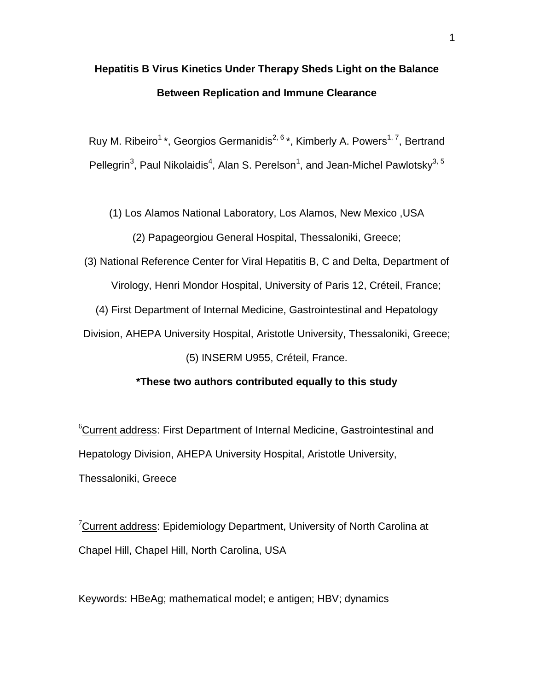# **Hepatitis B Virus Kinetics Under Therapy Sheds Light on the Balance Between Replication and Immune Clearance**

Ruy M. Ribeiro<sup>1</sup>\*, Georgios Germanidis<sup>2, 6</sup>\*, Kimberly A. Powers<sup>1, 7</sup>, Bertrand Pellegrin<sup>3</sup>, Paul Nikolaidis<sup>4</sup>, Alan S. Perelson<sup>1</sup>, and Jean-Michel Pawlotsky<sup>3, 5</sup>

(1) Los Alamos National Laboratory, Los Alamos, New Mexico ,USA

(2) Papageorgiou General Hospital, Thessaloniki, Greece;

(3) National Reference Center for Viral Hepatitis B, C and Delta, Department of Virology, Henri Mondor Hospital, University of Paris 12, Créteil, France; (4) First Department of Internal Medicine, Gastrointestinal and Hepatology Division, AHEPA University Hospital, Aristotle University, Thessaloniki, Greece;

(5) INSERM U955, Créteil, France.

## **\*These two authors contributed equally to this study**

<sup>6</sup>Current address: First Department of Internal Medicine, Gastrointestinal and Hepatology Division, AHEPA University Hospital, Aristotle University, Thessaloniki, Greece

 $7$ Current address: Epidemiology Department, University of North Carolina at Chapel Hill, Chapel Hill, North Carolina, USA

Keywords: HBeAg; mathematical model; e antigen; HBV; dynamics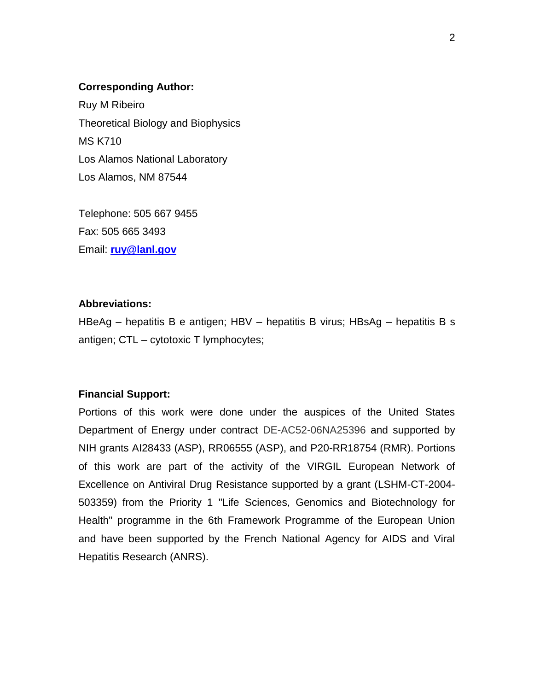## **Corresponding Author:**

Ruy M Ribeiro Theoretical Biology and Biophysics MS K710 Los Alamos National Laboratory Los Alamos, NM 87544

Telephone: 505 667 9455 Fax: 505 665 3493 Email: **[ruy@lanl.gov](mailto:ruy@lanl.gov)**

# **Abbreviations:**

HBeAg – hepatitis B e antigen; HBV – hepatitis B virus; HBsAg – hepatitis B s antigen; CTL – cytotoxic T lymphocytes;

# **Financial Support:**

Portions of this work were done under the auspices of the United States Department of Energy under contract DE-AC52-06NA25396 and supported by NIH grants AI28433 (ASP), RR06555 (ASP), and P20-RR18754 (RMR). Portions of this work are part of the activity of the VIRGIL European Network of Excellence on Antiviral Drug Resistance supported by a grant (LSHM-CT-2004- 503359) from the Priority 1 "Life Sciences, Genomics and Biotechnology for Health" programme in the 6th Framework Programme of the European Union and have been supported by the French National Agency for AIDS and Viral Hepatitis Research (ANRS).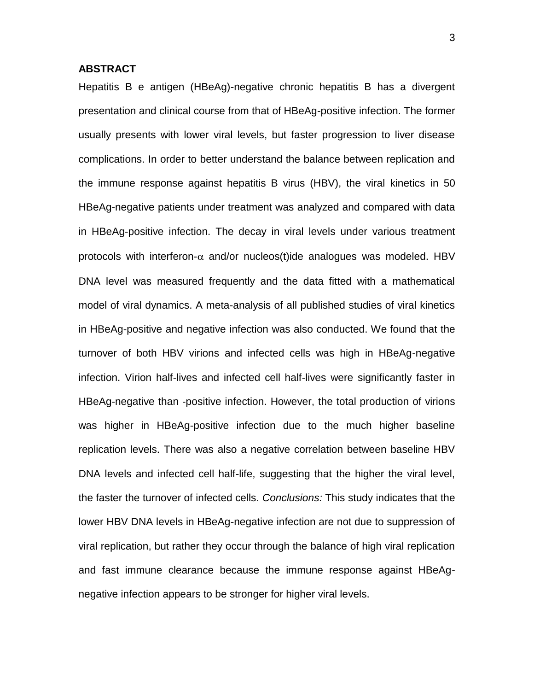## **ABSTRACT**

Hepatitis B e antigen (HBeAg)-negative chronic hepatitis B has a divergent presentation and clinical course from that of HBeAg-positive infection. The former usually presents with lower viral levels, but faster progression to liver disease complications. In order to better understand the balance between replication and the immune response against hepatitis B virus (HBV), the viral kinetics in 50 HBeAg-negative patients under treatment was analyzed and compared with data in HBeAg-positive infection. The decay in viral levels under various treatment protocols with interferon- $\alpha$  and/or nucleos(t)ide analogues was modeled. HBV DNA level was measured frequently and the data fitted with a mathematical model of viral dynamics. A meta-analysis of all published studies of viral kinetics in HBeAg-positive and negative infection was also conducted. We found that the turnover of both HBV virions and infected cells was high in HBeAg-negative infection. Virion half-lives and infected cell half-lives were significantly faster in HBeAg-negative than -positive infection. However, the total production of virions was higher in HBeAg-positive infection due to the much higher baseline replication levels. There was also a negative correlation between baseline HBV DNA levels and infected cell half-life, suggesting that the higher the viral level, the faster the turnover of infected cells. *Conclusions:* This study indicates that the lower HBV DNA levels in HBeAg-negative infection are not due to suppression of viral replication, but rather they occur through the balance of high viral replication and fast immune clearance because the immune response against HBeAgnegative infection appears to be stronger for higher viral levels.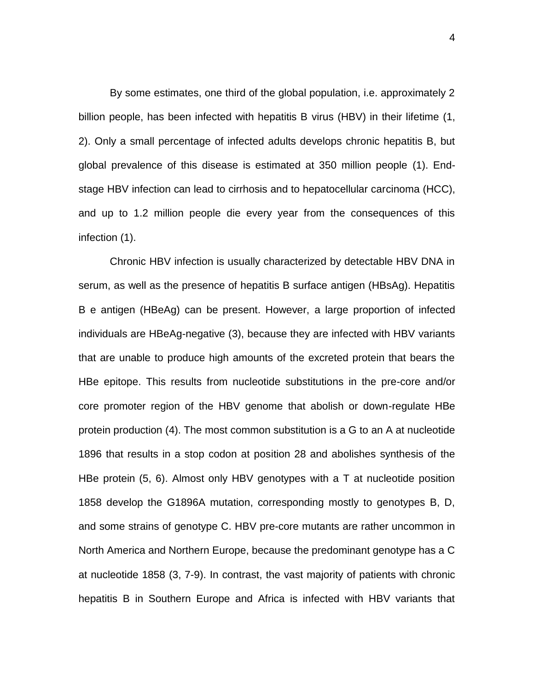By some estimates, one third of the global population, i.e. approximately 2 billion people, has been infected with hepatitis B virus (HBV) in their lifetime (1, 2). Only a small percentage of infected adults develops chronic hepatitis B, but global prevalence of this disease is estimated at 350 million people (1). Endstage HBV infection can lead to cirrhosis and to hepatocellular carcinoma (HCC), and up to 1.2 million people die every year from the consequences of this infection (1).

Chronic HBV infection is usually characterized by detectable HBV DNA in serum, as well as the presence of hepatitis B surface antigen (HBsAg). Hepatitis B e antigen (HBeAg) can be present. However, a large proportion of infected individuals are HBeAg-negative (3), because they are infected with HBV variants that are unable to produce high amounts of the excreted protein that bears the HBe epitope. This results from nucleotide substitutions in the pre-core and/or core promoter region of the HBV genome that abolish or down-regulate HBe protein production (4). The most common substitution is a G to an A at nucleotide 1896 that results in a stop codon at position 28 and abolishes synthesis of the HBe protein (5, 6). Almost only HBV genotypes with a T at nucleotide position 1858 develop the G1896A mutation, corresponding mostly to genotypes B, D, and some strains of genotype C. HBV pre-core mutants are rather uncommon in North America and Northern Europe, because the predominant genotype has a C at nucleotide 1858 (3, 7-9). In contrast, the vast majority of patients with chronic hepatitis B in Southern Europe and Africa is infected with HBV variants that

4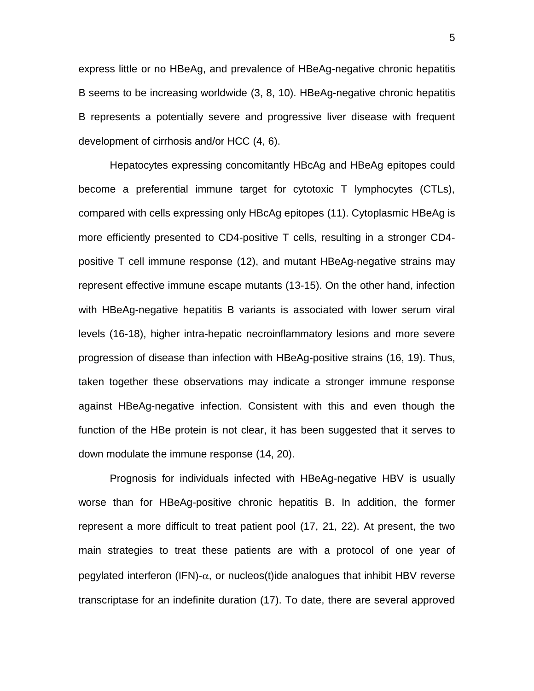express little or no HBeAg, and prevalence of HBeAg-negative chronic hepatitis B seems to be increasing worldwide (3, 8, 10). HBeAg-negative chronic hepatitis B represents a potentially severe and progressive liver disease with frequent development of cirrhosis and/or HCC (4, 6).

Hepatocytes expressing concomitantly HBcAg and HBeAg epitopes could become a preferential immune target for cytotoxic T lymphocytes (CTLs), compared with cells expressing only HBcAg epitopes (11). Cytoplasmic HBeAg is more efficiently presented to CD4-positive T cells, resulting in a stronger CD4 positive T cell immune response (12), and mutant HBeAg-negative strains may represent effective immune escape mutants (13-15). On the other hand, infection with HBeAg-negative hepatitis B variants is associated with lower serum viral levels (16-18), higher intra-hepatic necroinflammatory lesions and more severe progression of disease than infection with HBeAg-positive strains (16, 19). Thus, taken together these observations may indicate a stronger immune response against HBeAg-negative infection. Consistent with this and even though the function of the HBe protein is not clear, it has been suggested that it serves to down modulate the immune response (14, 20).

Prognosis for individuals infected with HBeAg-negative HBV is usually worse than for HBeAg-positive chronic hepatitis B. In addition, the former represent a more difficult to treat patient pool (17, 21, 22). At present, the two main strategies to treat these patients are with a protocol of one year of pegylated interferon (IFN)- $\alpha$ , or nucleos(t)ide analogues that inhibit HBV reverse transcriptase for an indefinite duration (17). To date, there are several approved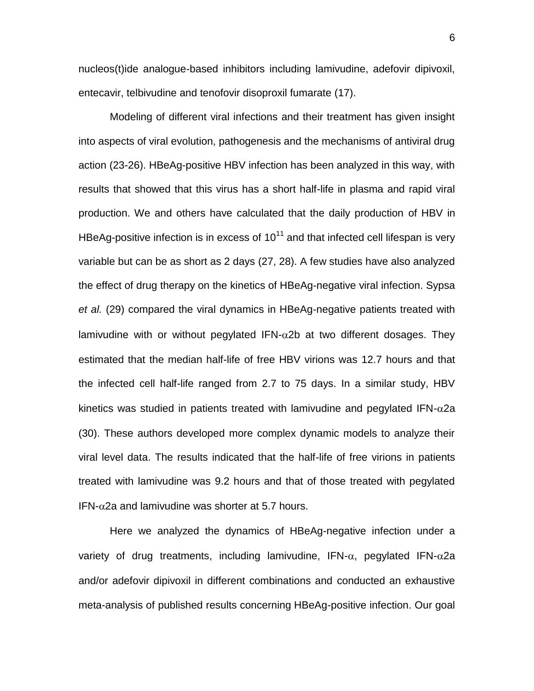nucleos(t)ide analogue-based inhibitors including lamivudine, adefovir dipivoxil, entecavir, telbivudine and tenofovir disoproxil fumarate (17).

Modeling of different viral infections and their treatment has given insight into aspects of viral evolution, pathogenesis and the mechanisms of antiviral drug action (23-26). HBeAg-positive HBV infection has been analyzed in this way, with results that showed that this virus has a short half-life in plasma and rapid viral production. We and others have calculated that the daily production of HBV in HBeAg-positive infection is in excess of  $10^{11}$  and that infected cell lifespan is very variable but can be as short as 2 days (27, 28). A few studies have also analyzed the effect of drug therapy on the kinetics of HBeAg-negative viral infection. Sypsa *et al.* (29) compared the viral dynamics in HBeAg-negative patients treated with lamivudine with or without pegylated IFN- $\alpha$ 2b at two different dosages. They estimated that the median half-life of free HBV virions was 12.7 hours and that the infected cell half-life ranged from 2.7 to 75 days. In a similar study, HBV kinetics was studied in patients treated with lamivudine and pegylated IFN- $\alpha$ 2a (30). These authors developed more complex dynamic models to analyze their viral level data. The results indicated that the half-life of free virions in patients treated with lamivudine was 9.2 hours and that of those treated with pegylated  $IFN-\alpha$ 2a and lamivudine was shorter at 5.7 hours.

Here we analyzed the dynamics of HBeAg-negative infection under a variety of drug treatments, including lamivudine, IFN- $\alpha$ , pegylated IFN- $\alpha$ 2a and/or adefovir dipivoxil in different combinations and conducted an exhaustive meta-analysis of published results concerning HBeAg-positive infection. Our goal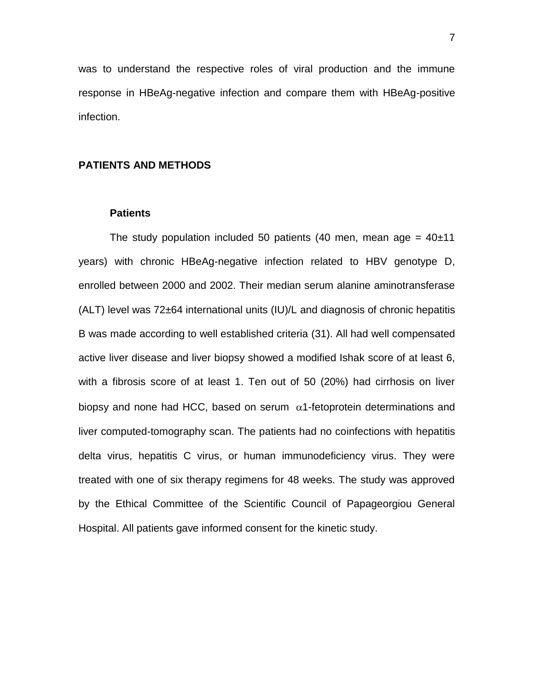was to understand the respective roles of viral production and the immune response in HBeAg-negative infection and compare them with HBeAg-positive infection.

## **PATIENTS AND METHODS**

## **Patients**

The study population included 50 patients (40 men, mean age =  $40\pm11$ ) years) with chronic HBeAg-negative infection related to HBV genotype D, enrolled between 2000 and 2002. Their median serum alanine aminotransferase (ALT) level was 72±64 international units (IU)/L and diagnosis of chronic hepatitis B was made according to well established criteria (31). All had well compensated active liver disease and liver biopsy showed a modified Ishak score of at least 6, with a fibrosis score of at least 1. Ten out of 50 (20%) had cirrhosis on liver biopsy and none had HCC, based on serum  $\alpha$ 1-fetoprotein determinations and liver computed-tomography scan. The patients had no coinfections with hepatitis delta virus, hepatitis C virus, or human immunodeficiency virus. They were treated with one of six therapy regimens for 48 weeks. The study was approved by the Ethical Committee of the Scientific Council of Papageorgiou General Hospital. All patients gave informed consent for the kinetic study.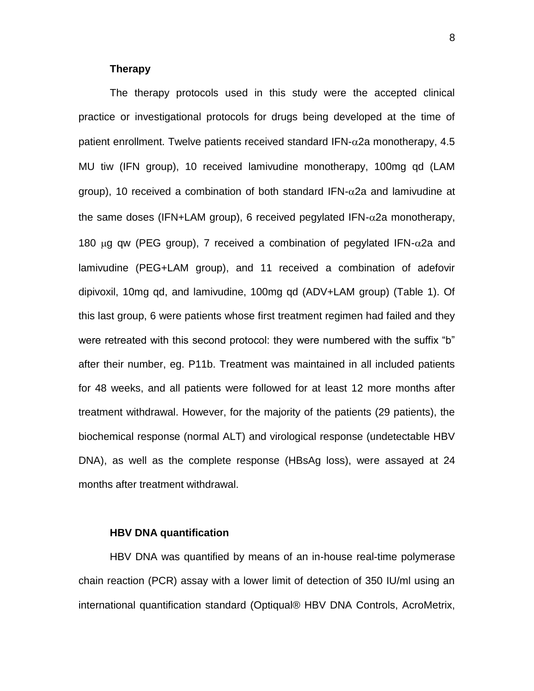#### **Therapy**

The therapy protocols used in this study were the accepted clinical practice or investigational protocols for drugs being developed at the time of patient enrollment. Twelve patients received standard IFN- $\alpha$ 2a monotherapy, 4.5 MU tiw (IFN group), 10 received lamivudine monotherapy, 100mg qd (LAM group), 10 received a combination of both standard IFN- $\alpha$ 2a and lamivudine at the same doses (IFN+LAM group), 6 received pegylated IFN- $\alpha$ 2a monotherapy, 180  $\mu$ g qw (PEG group), 7 received a combination of pegylated IFN- $\alpha$ 2a and lamivudine (PEG+LAM group), and 11 received a combination of adefovir dipivoxil, 10mg qd, and lamivudine, 100mg qd (ADV+LAM group) (Table 1). Of this last group, 6 were patients whose first treatment regimen had failed and they were retreated with this second protocol: they were numbered with the suffix "b" after their number, eg. P11b. Treatment was maintained in all included patients for 48 weeks, and all patients were followed for at least 12 more months after treatment withdrawal. However, for the majority of the patients (29 patients), the biochemical response (normal ALT) and virological response (undetectable HBV DNA), as well as the complete response (HBsAg loss), were assayed at 24 months after treatment withdrawal.

## **HBV DNA quantification**

HBV DNA was quantified by means of an in-house real-time polymerase chain reaction (PCR) assay with a lower limit of detection of 350 IU/ml using an international quantification standard (Optiqual® HBV DNA Controls, AcroMetrix,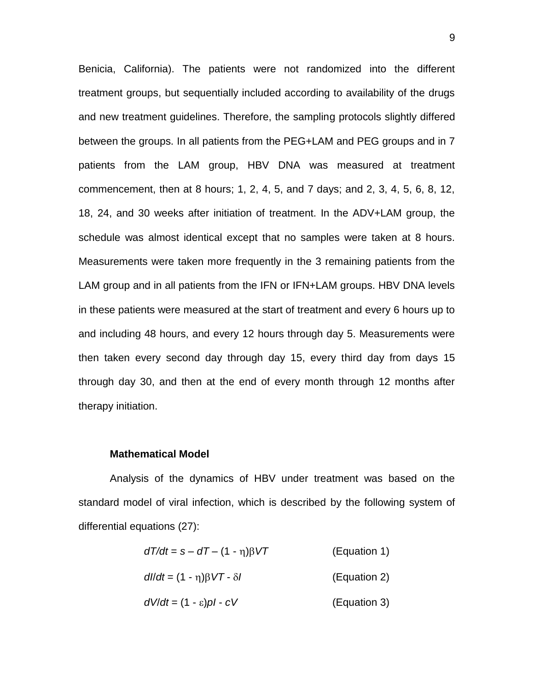Benicia, California). The patients were not randomized into the different treatment groups, but sequentially included according to availability of the drugs and new treatment guidelines. Therefore, the sampling protocols slightly differed between the groups. In all patients from the PEG+LAM and PEG groups and in 7 patients from the LAM group, HBV DNA was measured at treatment commencement, then at 8 hours; 1, 2, 4, 5, and 7 days; and 2, 3, 4, 5, 6, 8, 12, 18, 24, and 30 weeks after initiation of treatment. In the ADV+LAM group, the schedule was almost identical except that no samples were taken at 8 hours. Measurements were taken more frequently in the 3 remaining patients from the LAM group and in all patients from the IFN or IFN+LAM groups. HBV DNA levels in these patients were measured at the start of treatment and every 6 hours up to and including 48 hours, and every 12 hours through day 5. Measurements were then taken every second day through day 15, every third day from days 15 through day 30, and then at the end of every month through 12 months after therapy initiation.

#### **Mathematical Model**

Analysis of the dynamics of HBV under treatment was based on the standard model of viral infection, which is described by the following system of differential equations (27):

| $dT/dt = s - dT - (1 - \eta)\beta VT$    | (Equation 1) |
|------------------------------------------|--------------|
| $dl/dt = (1 - \eta)\beta V T - \delta l$ | (Equation 2) |
| $dV/dt = (1 - \varepsilon)pI - cV$       | (Equation 3) |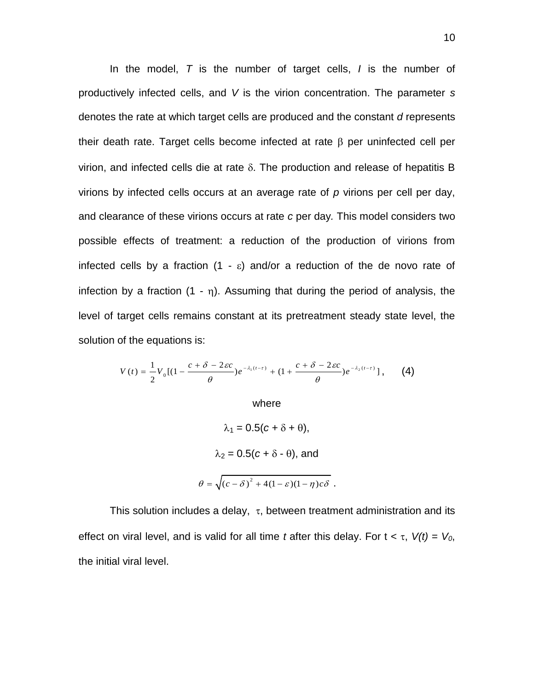In the model, *T* is the number of target cells, *I* is the number of productively infected cells, and *V* is the virion concentration. The parameter *s* denotes the rate at which target cells are produced and the constant *d* represents their death rate. Target cells become infected at rate  $\beta$  per uninfected cell per virion, and infected cells die at rate  $\delta$ . The production and release of hepatitis B virions by infected cells occurs at an average rate of *p* virions per cell per day, and clearance of these virions occurs at rate *c* per day*.* This model considers two possible effects of treatment: a reduction of the production of virions from infected cells by a fraction  $(1 - \varepsilon)$  and/or a reduction of the de novo rate of infection by a fraction  $(1 - \eta)$ . Assuming that during the period of analysis, the level of target cells remains constant at its pretreatment steady state level, the solution of the equations is:

$$
V(t)=\frac{1}{2}V_0\left[(1-\frac{c+\delta-2\epsilon c}{\theta})e^{-\lambda_1(t-\tau)}+(1+\frac{c+\delta-2\epsilon c}{\theta})e^{-\lambda_2(t-\tau)}\right],\qquad (4)
$$

where

$$
\lambda_1 = 0.5(c + \delta + \theta),
$$
  
\n
$$
\lambda_2 = 0.5(c + \delta - \theta), \text{ and}
$$
  
\n
$$
\theta = \sqrt{(c - \delta)^2 + 4(1 - \varepsilon)(1 - \eta)c\delta}.
$$

This solution includes a delay,  $\tau$ , between treatment administration and its effect on viral level, and is valid for all time *t* after this delay. For  $t < \tau$ ,  $V(t) = V_0$ , the initial viral level.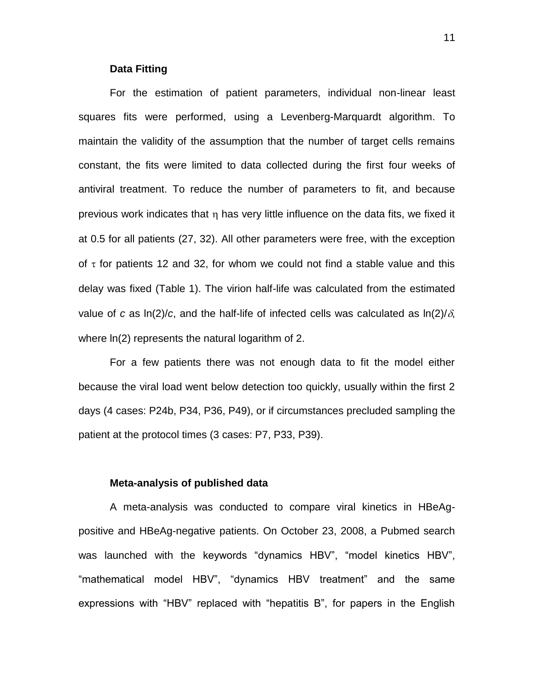#### **Data Fitting**

For the estimation of patient parameters, individual non-linear least squares fits were performed, using a Levenberg-Marquardt algorithm. To maintain the validity of the assumption that the number of target cells remains constant, the fits were limited to data collected during the first four weeks of antiviral treatment. To reduce the number of parameters to fit, and because previous work indicates that  $\eta$  has very little influence on the data fits, we fixed it at 0.5 for all patients (27, 32). All other parameters were free, with the exception of  $\tau$  for patients 12 and 32, for whom we could not find a stable value and this delay was fixed (Table 1). The virion half-life was calculated from the estimated value of *c* as  $\ln(2)/c$ , and the half-life of infected cells was calculated as  $\ln(2)/\delta$ , where ln(2) represents the natural logarithm of 2.

For a few patients there was not enough data to fit the model either because the viral load went below detection too quickly, usually within the first 2 days (4 cases: P24b, P34, P36, P49), or if circumstances precluded sampling the patient at the protocol times (3 cases: P7, P33, P39).

#### **Meta-analysis of published data**

A meta-analysis was conducted to compare viral kinetics in HBeAgpositive and HBeAg-negative patients. On October 23, 2008, a Pubmed search was launched with the keywords "dynamics HBV", "model kinetics HBV", "mathematical model HBV", "dynamics HBV treatment" and the same expressions with "HBV" replaced with "hepatitis B", for papers in the English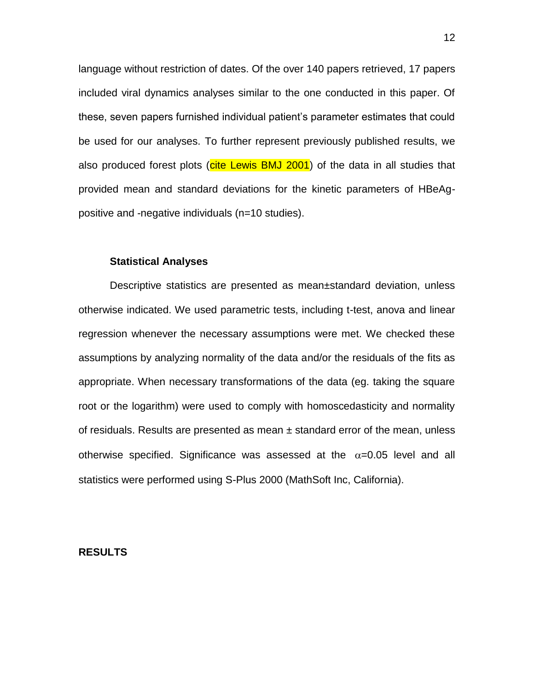language without restriction of dates. Of the over 140 papers retrieved, 17 papers included viral dynamics analyses similar to the one conducted in this paper. Of these, seven papers furnished individual patient's parameter estimates that could be used for our analyses. To further represent previously published results, we also produced forest plots (cite Lewis BMJ 2001) of the data in all studies that provided mean and standard deviations for the kinetic parameters of HBeAgpositive and -negative individuals (n=10 studies).

#### **Statistical Analyses**

Descriptive statistics are presented as mean±standard deviation, unless otherwise indicated. We used parametric tests, including t-test, anova and linear regression whenever the necessary assumptions were met. We checked these assumptions by analyzing normality of the data and/or the residuals of the fits as appropriate. When necessary transformations of the data (eg. taking the square root or the logarithm) were used to comply with homoscedasticity and normality of residuals. Results are presented as mean  $\pm$  standard error of the mean, unless otherwise specified. Significance was assessed at the  $\alpha$ =0.05 level and all statistics were performed using S-Plus 2000 (MathSoft Inc, California).

## **RESULTS**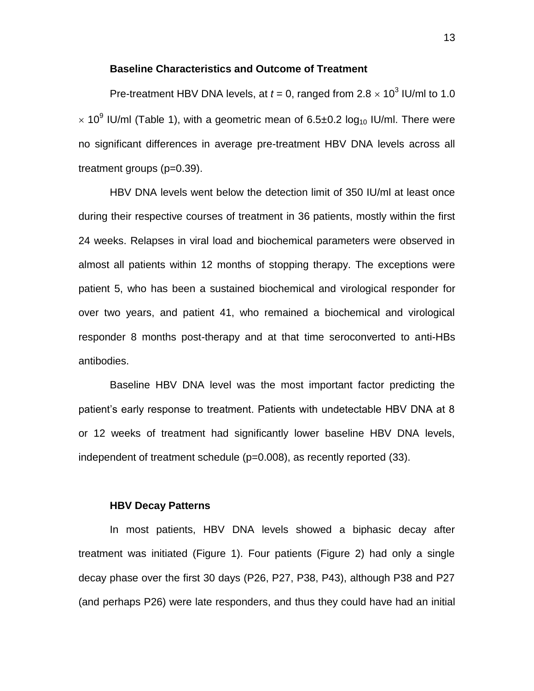## **Baseline Characteristics and Outcome of Treatment**

Pre-treatment HBV DNA levels, at  $t = 0$ , ranged from  $2.8 \times 10^3$  IU/ml to 1.0  $\times$  10<sup>9</sup> IU/ml (Table 1), with a geometric mean of 6.5±0.2 log<sub>10</sub> IU/ml. There were no significant differences in average pre-treatment HBV DNA levels across all treatment groups (p=0.39).

HBV DNA levels went below the detection limit of 350 IU/ml at least once during their respective courses of treatment in 36 patients, mostly within the first 24 weeks. Relapses in viral load and biochemical parameters were observed in almost all patients within 12 months of stopping therapy. The exceptions were patient 5, who has been a sustained biochemical and virological responder for over two years, and patient 41, who remained a biochemical and virological responder 8 months post-therapy and at that time seroconverted to anti-HBs antibodies.

Baseline HBV DNA level was the most important factor predicting the patient's early response to treatment. Patients with undetectable HBV DNA at 8 or 12 weeks of treatment had significantly lower baseline HBV DNA levels, independent of treatment schedule (p=0.008), as recently reported (33).

## **HBV Decay Patterns**

In most patients, HBV DNA levels showed a biphasic decay after treatment was initiated (Figure 1). Four patients (Figure 2) had only a single decay phase over the first 30 days (P26, P27, P38, P43), although P38 and P27 (and perhaps P26) were late responders, and thus they could have had an initial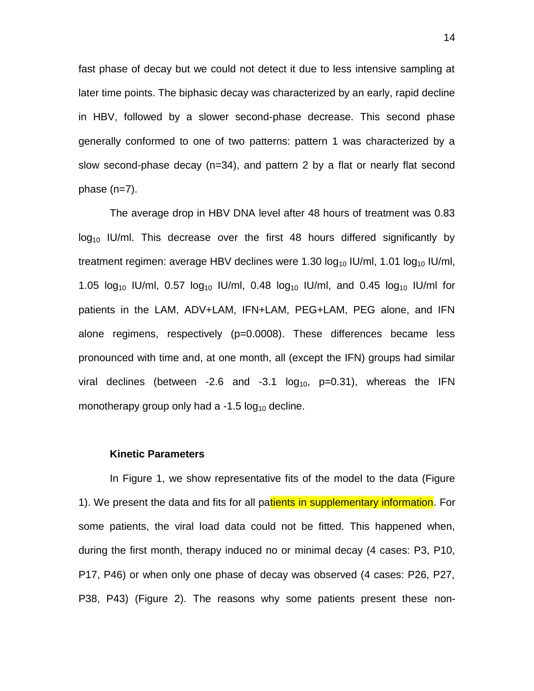fast phase of decay but we could not detect it due to less intensive sampling at later time points. The biphasic decay was characterized by an early, rapid decline in HBV, followed by a slower second-phase decrease. This second phase generally conformed to one of two patterns: pattern 1 was characterized by a slow second-phase decay (n=34), and pattern 2 by a flat or nearly flat second phase (n=7).

The average drop in HBV DNA level after 48 hours of treatment was 0.83  $log_{10}$  IU/ml. This decrease over the first 48 hours differed significantly by treatment regimen: average HBV declines were 1.30  $log_{10}$  IU/ml, 1.01  $log_{10}$  IU/ml, 1.05  $log_{10}$  IU/ml, 0.57  $log_{10}$  IU/ml, 0.48  $log_{10}$  IU/ml, and 0.45  $log_{10}$  IU/ml for patients in the LAM, ADV+LAM, IFN+LAM, PEG+LAM, PEG alone, and IFN alone regimens, respectively (p=0.0008). These differences became less pronounced with time and, at one month, all (except the IFN) groups had similar viral declines (between -2.6 and -3.1  $log_{10}$ , p=0.31), whereas the IFN monotherapy group only had a -1.5  $log_{10}$  decline.

#### **Kinetic Parameters**

In Figure 1, we show representative fits of the model to the data (Figure 1). We present the data and fits for all patients in supplementary information. For some patients, the viral load data could not be fitted. This happened when, during the first month, therapy induced no or minimal decay (4 cases: P3, P10, P17, P46) or when only one phase of decay was observed (4 cases: P26, P27, P38, P43) (Figure 2). The reasons why some patients present these non-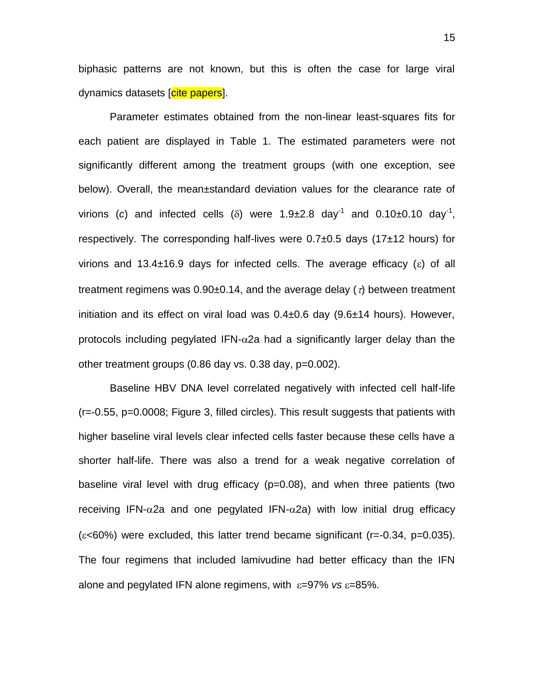biphasic patterns are not known, but this is often the case for large viral dynamics datasets [cite papers].

Parameter estimates obtained from the non-linear least-squares fits for each patient are displayed in Table 1. The estimated parameters were not significantly different among the treatment groups (with one exception, see below). Overall, the mean±standard deviation values for the clearance rate of virions (c) and infected cells ( $\delta$ ) were 1.9±2.8 day<sup>-1</sup> and 0.10±0.10 day<sup>-1</sup>, respectively. The corresponding half-lives were  $0.7\pm0.5$  days (17 $\pm$ 12 hours) for virions and 13.4 $\pm$ 16.9 days for infected cells. The average efficacy ( $\epsilon$ ) of all treatment regimens was  $0.90\pm0.14$ , and the average delay ( $\tau$ ) between treatment initiation and its effect on viral load was 0.4±0.6 day (9.6±14 hours). However, protocols including pegylated IFN- $\alpha$ 2a had a significantly larger delay than the other treatment groups (0.86 day vs. 0.38 day, p=0.002).

Baseline HBV DNA level correlated negatively with infected cell half-life (r=-0.55, p=0.0008; Figure 3, filled circles). This result suggests that patients with higher baseline viral levels clear infected cells faster because these cells have a shorter half-life. There was also a trend for a weak negative correlation of baseline viral level with drug efficacy (p=0.08), and when three patients (two receiving IFN- $\alpha$ 2a and one pegylated IFN- $\alpha$ 2a) with low initial drug efficacy  $(\epsilon$ <60%) were excluded, this latter trend became significant (r=-0.34, p=0.035). The four regimens that included lamivudine had better efficacy than the IFN alone and pegylated IFN alone regimens, with  $\varepsilon = 97\%$  *vs*  $\varepsilon = 85\%$ .

15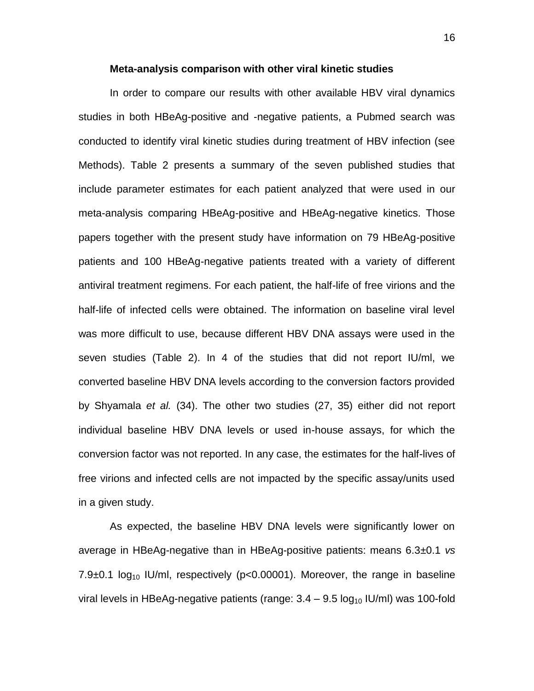#### **Meta-analysis comparison with other viral kinetic studies**

In order to compare our results with other available HBV viral dynamics studies in both HBeAg-positive and -negative patients, a Pubmed search was conducted to identify viral kinetic studies during treatment of HBV infection (see Methods). Table 2 presents a summary of the seven published studies that include parameter estimates for each patient analyzed that were used in our meta-analysis comparing HBeAg-positive and HBeAg-negative kinetics. Those papers together with the present study have information on 79 HBeAg-positive patients and 100 HBeAg-negative patients treated with a variety of different antiviral treatment regimens. For each patient, the half-life of free virions and the half-life of infected cells were obtained. The information on baseline viral level was more difficult to use, because different HBV DNA assays were used in the seven studies (Table 2). In 4 of the studies that did not report IU/ml, we converted baseline HBV DNA levels according to the conversion factors provided by Shyamala *et al.* (34). The other two studies (27, 35) either did not report individual baseline HBV DNA levels or used in-house assays, for which the conversion factor was not reported. In any case, the estimates for the half-lives of free virions and infected cells are not impacted by the specific assay/units used in a given study.

As expected, the baseline HBV DNA levels were significantly lower on average in HBeAg-negative than in HBeAg-positive patients: means 6.3±0.1 *vs* 7.9 $\pm$ 0.1 log<sub>10</sub> IU/ml, respectively (p<0.00001). Moreover, the range in baseline viral levels in HBeAg-negative patients (range:  $3.4 - 9.5 \log_{10}$  IU/ml) was 100-fold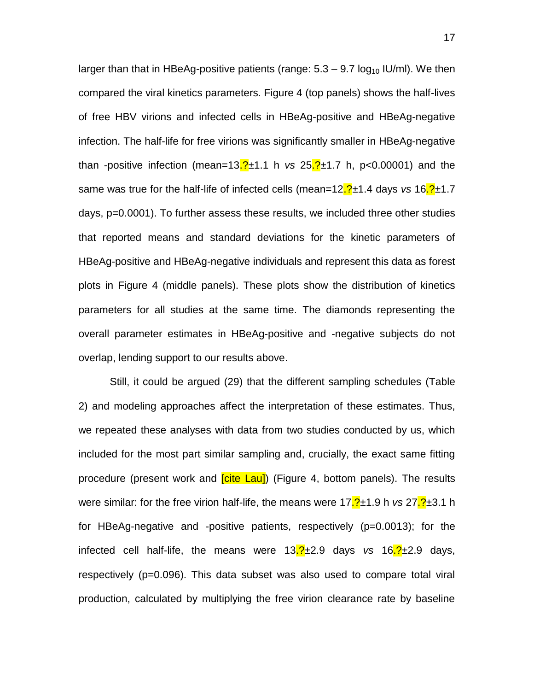larger than that in HBeAg-positive patients (range:  $5.3 - 9.7 \log_{10}$  IU/ml). We then compared the viral kinetics parameters. Figure 4 (top panels) shows the half-lives of free HBV virions and infected cells in HBeAg-positive and HBeAg-negative infection. The half-life for free virions was significantly smaller in HBeAg-negative than -positive infection (mean=13.?±1.1 h *vs* 25.?±1.7 h, p<0.00001) and the same was true for the half-life of infected cells (mean=12.?±1.4 days *vs* 16.?±1.7 days, p=0.0001). To further assess these results, we included three other studies that reported means and standard deviations for the kinetic parameters of HBeAg-positive and HBeAg-negative individuals and represent this data as forest plots in Figure 4 (middle panels). These plots show the distribution of kinetics parameters for all studies at the same time. The diamonds representing the overall parameter estimates in HBeAg-positive and -negative subjects do not overlap, lending support to our results above.

Still, it could be argued (29) that the different sampling schedules (Table 2) and modeling approaches affect the interpretation of these estimates. Thus, we repeated these analyses with data from two studies conducted by us, which included for the most part similar sampling and, crucially, the exact same fitting procedure (present work and *cite Lau*) (Figure 4, bottom panels). The results were similar: for the free virion half-life, the means were 17.2±1.9 h *vs* 27.2±3.1 h for HBeAg-negative and -positive patients, respectively (p=0.0013); for the infected cell half-life, the means were 13.?±2.9 days *vs* 16.?±2.9 days, respectively (p=0.096). This data subset was also used to compare total viral production, calculated by multiplying the free virion clearance rate by baseline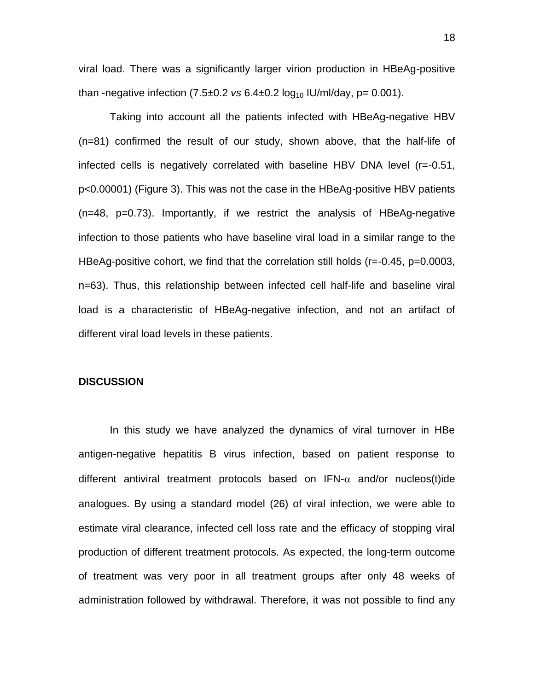viral load. There was a significantly larger virion production in HBeAg-positive than -negative infection  $(7.5\pm0.2 \text{ vs } 6.4\pm0.2 \text{ log}_{10} \text{ IU/ml/day}, p= 0.001)$ .

Taking into account all the patients infected with HBeAg-negative HBV (n=81) confirmed the result of our study, shown above, that the half-life of infected cells is negatively correlated with baseline HBV DNA level (r=-0.51, p<0.00001) (Figure 3). This was not the case in the HBeAg-positive HBV patients (n=48, p=0.73). Importantly, if we restrict the analysis of HBeAg-negative infection to those patients who have baseline viral load in a similar range to the HBeAg-positive cohort, we find that the correlation still holds (r=-0.45, p=0.0003, n=63). Thus, this relationship between infected cell half-life and baseline viral load is a characteristic of HBeAg-negative infection, and not an artifact of different viral load levels in these patients.

#### **DISCUSSION**

In this study we have analyzed the dynamics of viral turnover in HBe antigen-negative hepatitis B virus infection, based on patient response to different antiviral treatment protocols based on  $IFN-\alpha$  and/or nucleos(t)ide analogues. By using a standard model (26) of viral infection, we were able to estimate viral clearance, infected cell loss rate and the efficacy of stopping viral production of different treatment protocols. As expected, the long-term outcome of treatment was very poor in all treatment groups after only 48 weeks of administration followed by withdrawal. Therefore, it was not possible to find any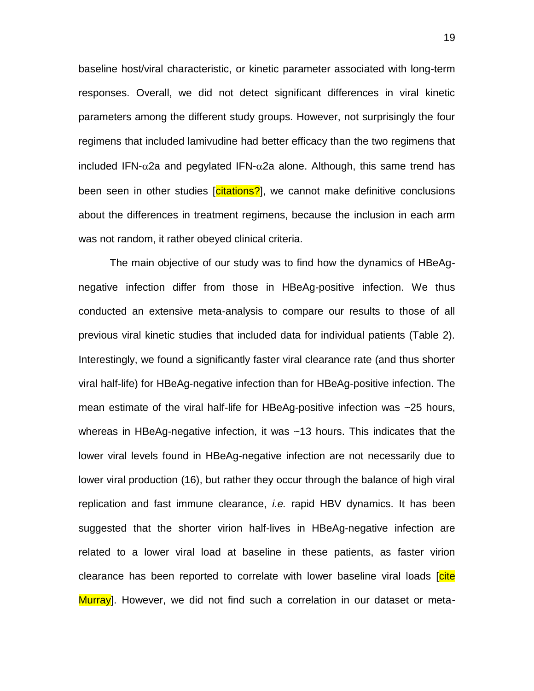baseline host/viral characteristic, or kinetic parameter associated with long-term responses. Overall, we did not detect significant differences in viral kinetic parameters among the different study groups. However, not surprisingly the four regimens that included lamivudine had better efficacy than the two regimens that included IFN- $\alpha$ 2a and pegylated IFN- $\alpha$ 2a alone. Although, this same trend has been seen in other studies [citations?], we cannot make definitive conclusions about the differences in treatment regimens, because the inclusion in each arm was not random, it rather obeyed clinical criteria.

The main objective of our study was to find how the dynamics of HBeAgnegative infection differ from those in HBeAg-positive infection. We thus conducted an extensive meta-analysis to compare our results to those of all previous viral kinetic studies that included data for individual patients (Table 2). Interestingly, we found a significantly faster viral clearance rate (and thus shorter viral half-life) for HBeAg-negative infection than for HBeAg-positive infection. The mean estimate of the viral half-life for HBeAg-positive infection was ~25 hours, whereas in HBeAg-negative infection, it was ~13 hours. This indicates that the lower viral levels found in HBeAg-negative infection are not necessarily due to lower viral production (16), but rather they occur through the balance of high viral replication and fast immune clearance, *i.e.* rapid HBV dynamics. It has been suggested that the shorter virion half-lives in HBeAg-negative infection are related to a lower viral load at baseline in these patients, as faster virion clearance has been reported to correlate with lower baseline viral loads [cite] Murray]. However, we did not find such a correlation in our dataset or meta-

19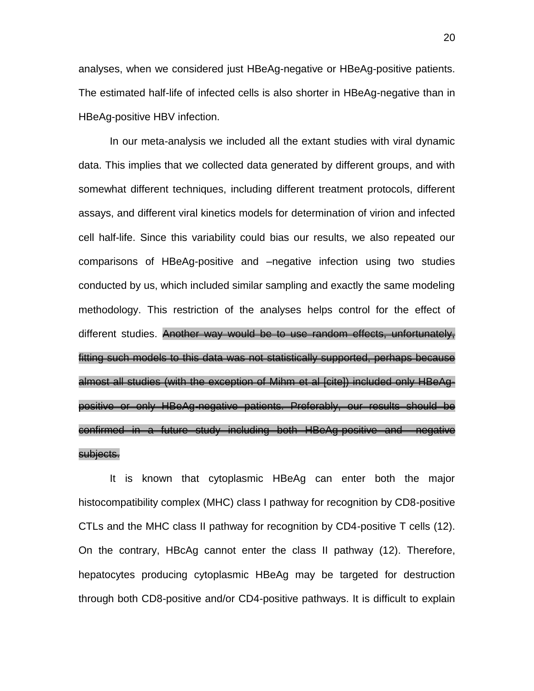analyses, when we considered just HBeAg-negative or HBeAg-positive patients. The estimated half-life of infected cells is also shorter in HBeAg-negative than in HBeAg-positive HBV infection.

In our meta-analysis we included all the extant studies with viral dynamic data. This implies that we collected data generated by different groups, and with somewhat different techniques, including different treatment protocols, different assays, and different viral kinetics models for determination of virion and infected cell half-life. Since this variability could bias our results, we also repeated our comparisons of HBeAg-positive and –negative infection using two studies conducted by us, which included similar sampling and exactly the same modeling methodology. This restriction of the analyses helps control for the effect of different studies. Another way would be to use random effects, unfortunately, fitting such models to this data was not statistically supported, perhaps because almost all studies (with the exception of Mihm et al [cite]) included only HBeAgpositive or only HBeAg-negative patients. Preferably, our results should be confirmed in a future study including both HBeAg-positive and –negative subjects.

It is known that cytoplasmic HBeAg can enter both the major histocompatibility complex (MHC) class I pathway for recognition by CD8-positive CTLs and the MHC class II pathway for recognition by CD4-positive T cells (12). On the contrary, HBcAg cannot enter the class II pathway (12). Therefore, hepatocytes producing cytoplasmic HBeAg may be targeted for destruction through both CD8-positive and/or CD4-positive pathways. It is difficult to explain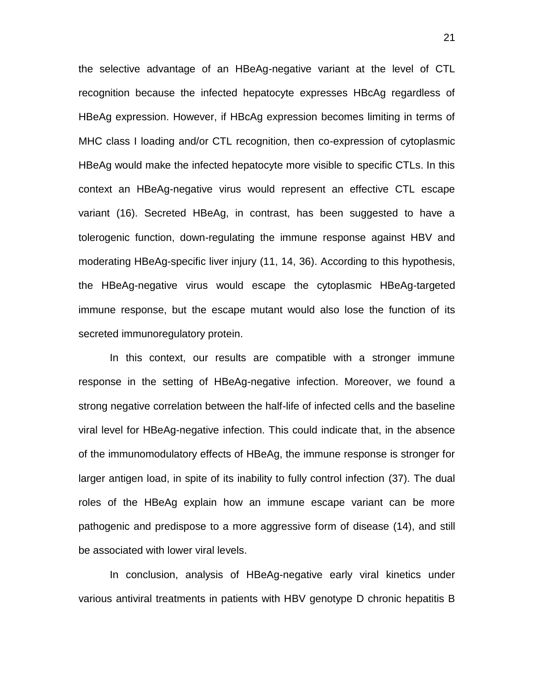the selective advantage of an HBeAg-negative variant at the level of CTL recognition because the infected hepatocyte expresses HBcAg regardless of HBeAg expression. However, if HBcAg expression becomes limiting in terms of MHC class I loading and/or CTL recognition, then co-expression of cytoplasmic HBeAg would make the infected hepatocyte more visible to specific CTLs. In this context an HBeAg-negative virus would represent an effective CTL escape variant (16). Secreted HBeAg, in contrast, has been suggested to have a tolerogenic function, down-regulating the immune response against HBV and moderating HBeAg-specific liver injury (11, 14, 36). According to this hypothesis, the HBeAg-negative virus would escape the cytoplasmic HBeAg-targeted immune response, but the escape mutant would also lose the function of its secreted immunoregulatory protein.

In this context, our results are compatible with a stronger immune response in the setting of HBeAg-negative infection. Moreover, we found a strong negative correlation between the half-life of infected cells and the baseline viral level for HBeAg-negative infection. This could indicate that, in the absence of the immunomodulatory effects of HBeAg, the immune response is stronger for larger antigen load, in spite of its inability to fully control infection (37). The dual roles of the HBeAg explain how an immune escape variant can be more pathogenic and predispose to a more aggressive form of disease (14), and still be associated with lower viral levels.

In conclusion, analysis of HBeAg-negative early viral kinetics under various antiviral treatments in patients with HBV genotype D chronic hepatitis B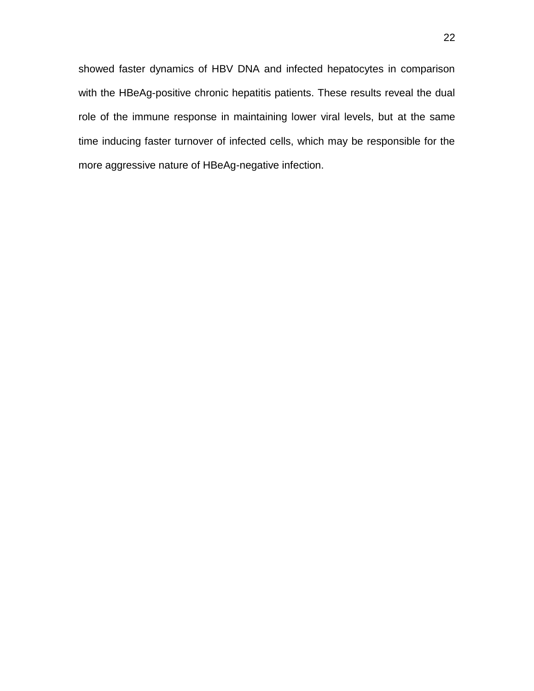showed faster dynamics of HBV DNA and infected hepatocytes in comparison with the HBeAg-positive chronic hepatitis patients. These results reveal the dual role of the immune response in maintaining lower viral levels, but at the same time inducing faster turnover of infected cells, which may be responsible for the more aggressive nature of HBeAg-negative infection.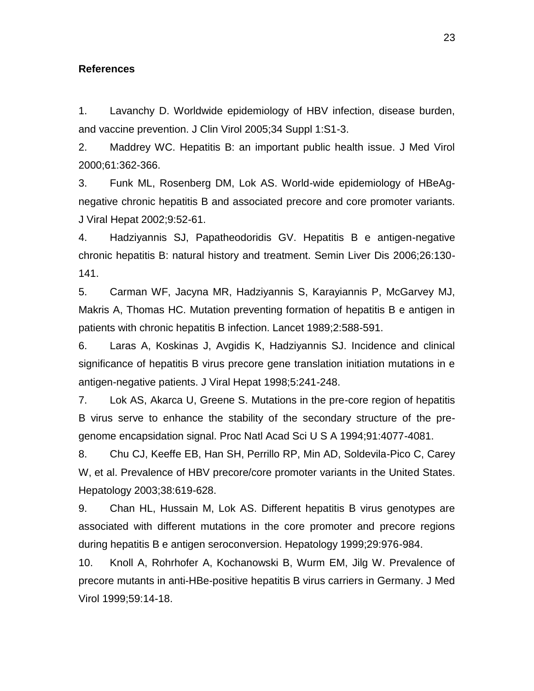### **References**

1. Lavanchy D. Worldwide epidemiology of HBV infection, disease burden, and vaccine prevention. J Clin Virol 2005;34 Suppl 1:S1-3.

2. Maddrey WC. Hepatitis B: an important public health issue. J Med Virol 2000;61:362-366.

3. Funk ML, Rosenberg DM, Lok AS. World-wide epidemiology of HBeAgnegative chronic hepatitis B and associated precore and core promoter variants. J Viral Hepat 2002;9:52-61.

4. Hadziyannis SJ, Papatheodoridis GV. Hepatitis B e antigen-negative chronic hepatitis B: natural history and treatment. Semin Liver Dis 2006;26:130- 141.

5. Carman WF, Jacyna MR, Hadziyannis S, Karayiannis P, McGarvey MJ, Makris A, Thomas HC. Mutation preventing formation of hepatitis B e antigen in patients with chronic hepatitis B infection. Lancet 1989;2:588-591.

6. Laras A, Koskinas J, Avgidis K, Hadziyannis SJ. Incidence and clinical significance of hepatitis B virus precore gene translation initiation mutations in e antigen-negative patients. J Viral Hepat 1998;5:241-248.

7. Lok AS, Akarca U, Greene S. Mutations in the pre-core region of hepatitis B virus serve to enhance the stability of the secondary structure of the pregenome encapsidation signal. Proc Natl Acad Sci U S A 1994;91:4077-4081.

8. Chu CJ, Keeffe EB, Han SH, Perrillo RP, Min AD, Soldevila-Pico C, Carey W, et al. Prevalence of HBV precore/core promoter variants in the United States. Hepatology 2003;38:619-628.

9. Chan HL, Hussain M, Lok AS. Different hepatitis B virus genotypes are associated with different mutations in the core promoter and precore regions during hepatitis B e antigen seroconversion. Hepatology 1999;29:976-984.

10. Knoll A, Rohrhofer A, Kochanowski B, Wurm EM, Jilg W. Prevalence of precore mutants in anti-HBe-positive hepatitis B virus carriers in Germany. J Med Virol 1999;59:14-18.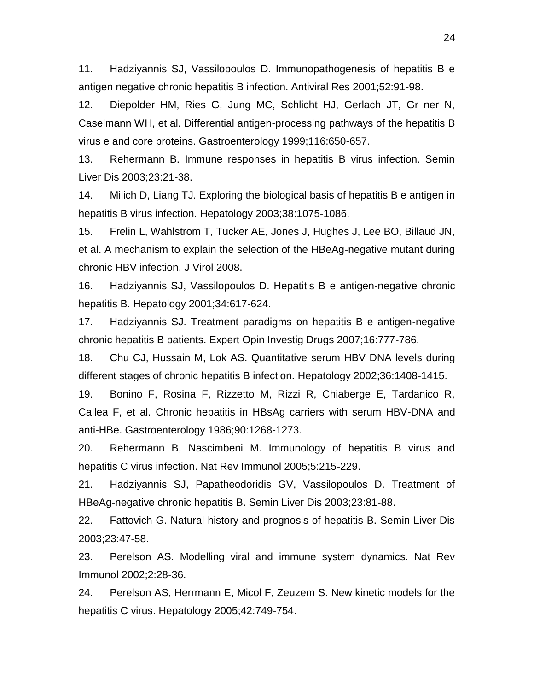11. Hadziyannis SJ, Vassilopoulos D. Immunopathogenesis of hepatitis B e antigen negative chronic hepatitis B infection. Antiviral Res 2001;52:91-98.

12. Diepolder HM, Ries G, Jung MC, Schlicht HJ, Gerlach JT, Gr ner N, Caselmann WH, et al. Differential antigen-processing pathways of the hepatitis B virus e and core proteins. Gastroenterology 1999;116:650-657.

13. Rehermann B. Immune responses in hepatitis B virus infection. Semin Liver Dis 2003;23:21-38.

14. Milich D, Liang TJ. Exploring the biological basis of hepatitis B e antigen in hepatitis B virus infection. Hepatology 2003;38:1075-1086.

15. Frelin L, Wahlstrom T, Tucker AE, Jones J, Hughes J, Lee BO, Billaud JN, et al. A mechanism to explain the selection of the HBeAg-negative mutant during chronic HBV infection. J Virol 2008.

16. Hadziyannis SJ, Vassilopoulos D. Hepatitis B e antigen-negative chronic hepatitis B. Hepatology 2001;34:617-624.

17. Hadziyannis SJ. Treatment paradigms on hepatitis B e antigen-negative chronic hepatitis B patients. Expert Opin Investig Drugs 2007;16:777-786.

18. Chu CJ, Hussain M, Lok AS. Quantitative serum HBV DNA levels during different stages of chronic hepatitis B infection. Hepatology 2002;36:1408-1415.

19. Bonino F, Rosina F, Rizzetto M, Rizzi R, Chiaberge E, Tardanico R, Callea F, et al. Chronic hepatitis in HBsAg carriers with serum HBV-DNA and anti-HBe. Gastroenterology 1986;90:1268-1273.

20. Rehermann B, Nascimbeni M. Immunology of hepatitis B virus and hepatitis C virus infection. Nat Rev Immunol 2005;5:215-229.

21. Hadziyannis SJ, Papatheodoridis GV, Vassilopoulos D. Treatment of HBeAg-negative chronic hepatitis B. Semin Liver Dis 2003;23:81-88.

22. Fattovich G. Natural history and prognosis of hepatitis B. Semin Liver Dis 2003;23:47-58.

23. Perelson AS. Modelling viral and immune system dynamics. Nat Rev Immunol 2002;2:28-36.

24. Perelson AS, Herrmann E, Micol F, Zeuzem S. New kinetic models for the hepatitis C virus. Hepatology 2005;42:749-754.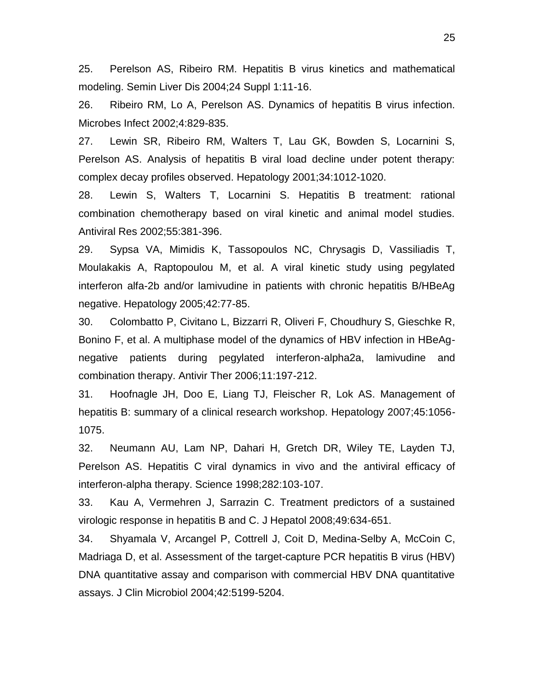25. Perelson AS, Ribeiro RM. Hepatitis B virus kinetics and mathematical modeling. Semin Liver Dis 2004;24 Suppl 1:11-16.

26. Ribeiro RM, Lo A, Perelson AS. Dynamics of hepatitis B virus infection. Microbes Infect 2002;4:829-835.

27. Lewin SR, Ribeiro RM, Walters T, Lau GK, Bowden S, Locarnini S, Perelson AS. Analysis of hepatitis B viral load decline under potent therapy: complex decay profiles observed. Hepatology 2001;34:1012-1020.

28. Lewin S, Walters T, Locarnini S. Hepatitis B treatment: rational combination chemotherapy based on viral kinetic and animal model studies. Antiviral Res 2002;55:381-396.

29. Sypsa VA, Mimidis K, Tassopoulos NC, Chrysagis D, Vassiliadis T, Moulakakis A, Raptopoulou M, et al. A viral kinetic study using pegylated interferon alfa-2b and/or lamivudine in patients with chronic hepatitis B/HBeAg negative. Hepatology 2005;42:77-85.

30. Colombatto P, Civitano L, Bizzarri R, Oliveri F, Choudhury S, Gieschke R, Bonino F, et al. A multiphase model of the dynamics of HBV infection in HBeAgnegative patients during pegylated interferon-alpha2a, lamivudine and combination therapy. Antivir Ther 2006;11:197-212.

31. Hoofnagle JH, Doo E, Liang TJ, Fleischer R, Lok AS. Management of hepatitis B: summary of a clinical research workshop. Hepatology 2007;45:1056- 1075.

32. Neumann AU, Lam NP, Dahari H, Gretch DR, Wiley TE, Layden TJ, Perelson AS. Hepatitis C viral dynamics in vivo and the antiviral efficacy of interferon-alpha therapy. Science 1998;282:103-107.

33. Kau A, Vermehren J, Sarrazin C. Treatment predictors of a sustained virologic response in hepatitis B and C. J Hepatol 2008;49:634-651.

34. Shyamala V, Arcangel P, Cottrell J, Coit D, Medina-Selby A, McCoin C, Madriaga D, et al. Assessment of the target-capture PCR hepatitis B virus (HBV) DNA quantitative assay and comparison with commercial HBV DNA quantitative assays. J Clin Microbiol 2004;42:5199-5204.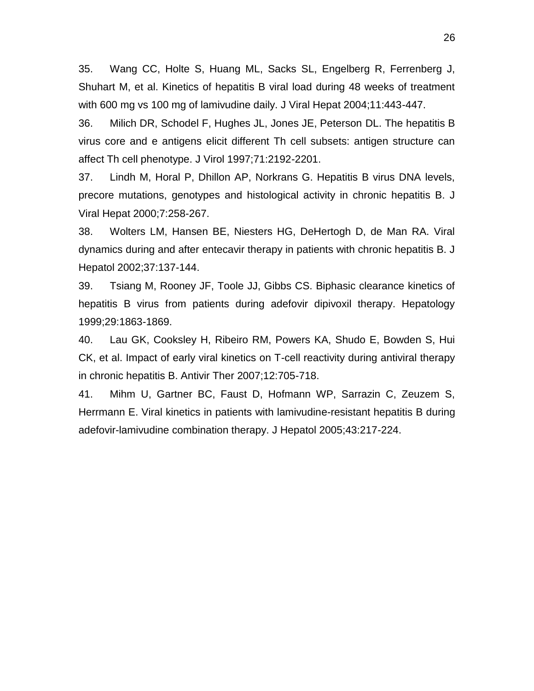35. Wang CC, Holte S, Huang ML, Sacks SL, Engelberg R, Ferrenberg J, Shuhart M, et al. Kinetics of hepatitis B viral load during 48 weeks of treatment with 600 mg vs 100 mg of lamivudine daily. J Viral Hepat 2004;11:443-447.

36. Milich DR, Schodel F, Hughes JL, Jones JE, Peterson DL. The hepatitis B virus core and e antigens elicit different Th cell subsets: antigen structure can affect Th cell phenotype. J Virol 1997;71:2192-2201.

37. Lindh M, Horal P, Dhillon AP, Norkrans G. Hepatitis B virus DNA levels, precore mutations, genotypes and histological activity in chronic hepatitis B. J Viral Hepat 2000;7:258-267.

38. Wolters LM, Hansen BE, Niesters HG, DeHertogh D, de Man RA. Viral dynamics during and after entecavir therapy in patients with chronic hepatitis B. J Hepatol 2002;37:137-144.

39. Tsiang M, Rooney JF, Toole JJ, Gibbs CS. Biphasic clearance kinetics of hepatitis B virus from patients during adefovir dipivoxil therapy. Hepatology 1999;29:1863-1869.

40. Lau GK, Cooksley H, Ribeiro RM, Powers KA, Shudo E, Bowden S, Hui CK, et al. Impact of early viral kinetics on T-cell reactivity during antiviral therapy in chronic hepatitis B. Antivir Ther 2007;12:705-718.

41. Mihm U, Gartner BC, Faust D, Hofmann WP, Sarrazin C, Zeuzem S, Herrmann E. Viral kinetics in patients with lamivudine-resistant hepatitis B during adefovir-lamivudine combination therapy. J Hepatol 2005;43:217-224.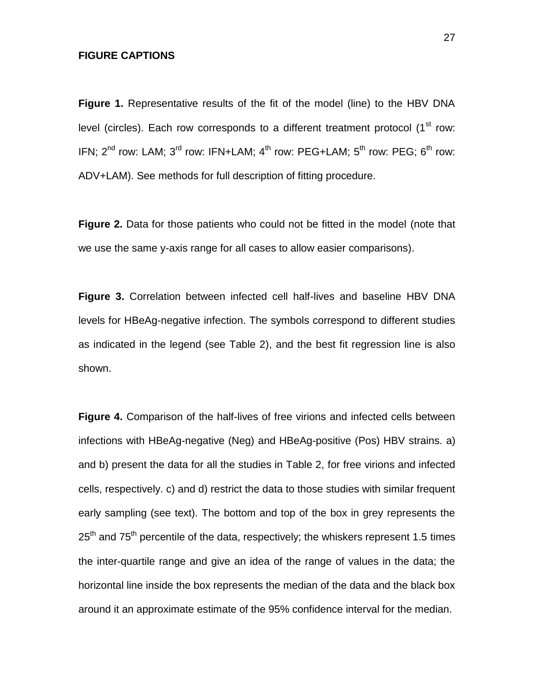## **FIGURE CAPTIONS**

**Figure 1.** Representative results of the fit of the model (line) to the HBV DNA level (circles). Each row corresponds to a different treatment protocol  $(1<sup>st</sup> row:$ IFN;  $2^{nd}$  row: LAM;  $3^{rd}$  row: IFN+LAM;  $4^{th}$  row: PEG+LAM;  $5^{th}$  row: PEG;  $6^{th}$  row: ADV+LAM). See methods for full description of fitting procedure.

**Figure 2.** Data for those patients who could not be fitted in the model (note that we use the same y-axis range for all cases to allow easier comparisons).

**Figure 3.** Correlation between infected cell half-lives and baseline HBV DNA levels for HBeAg-negative infection. The symbols correspond to different studies as indicated in the legend (see Table 2), and the best fit regression line is also shown.

**Figure 4.** Comparison of the half-lives of free virions and infected cells between infections with HBeAg-negative (Neg) and HBeAg-positive (Pos) HBV strains. a) and b) present the data for all the studies in Table 2, for free virions and infected cells, respectively. c) and d) restrict the data to those studies with similar frequent early sampling (see text). The bottom and top of the box in grey represents the  $25<sup>th</sup>$  and 75<sup>th</sup> percentile of the data, respectively; the whiskers represent 1.5 times the inter-quartile range and give an idea of the range of values in the data; the horizontal line inside the box represents the median of the data and the black box around it an approximate estimate of the 95% confidence interval for the median.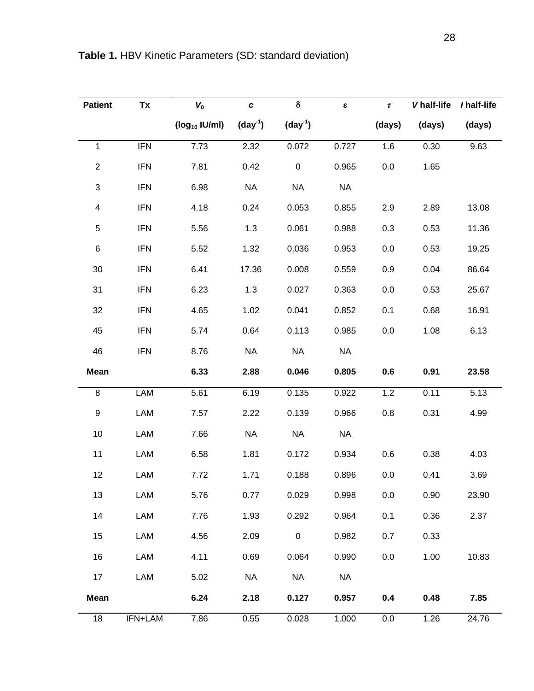| <b>Patient</b>            | Tx         | $V_0$              | $\pmb{c}$ | $\delta$                | $\pmb{\varepsilon}$ | $\pmb{\tau}$ | V half-life | / half-life |
|---------------------------|------------|--------------------|-----------|-------------------------|---------------------|--------------|-------------|-------------|
|                           |            | $(log_{10}$ IU/ml) | $(day-1)$ | $\text{(day}^1\text{)}$ |                     | (days)       | (days)      | (days)      |
| $\mathbf{1}$              | <b>IFN</b> | 7.73               | 2.32      | 0.072                   | 0.727               | 1.6          | 0.30        | 9.63        |
| $\boldsymbol{2}$          | <b>IFN</b> | 7.81               | 0.42      | $\pmb{0}$               | 0.965               | $0.0\,$      | 1.65        |             |
| $\ensuremath{\mathsf{3}}$ | <b>IFN</b> | 6.98               | <b>NA</b> | <b>NA</b>               | <b>NA</b>           |              |             |             |
| $\overline{\mathbf{4}}$   | <b>IFN</b> | 4.18               | 0.24      | 0.053                   | 0.855               | 2.9          | 2.89        | 13.08       |
| $\sqrt{5}$                | <b>IFN</b> | 5.56               | 1.3       | 0.061                   | 0.988               | 0.3          | 0.53        | 11.36       |
| $\,6$                     | <b>IFN</b> | 5.52               | 1.32      | 0.036                   | 0.953               | 0.0          | 0.53        | 19.25       |
| 30                        | <b>IFN</b> | 6.41               | 17.36     | 0.008                   | 0.559               | 0.9          | 0.04        | 86.64       |
| 31                        | <b>IFN</b> | 6.23               | 1.3       | 0.027                   | 0.363               | 0.0          | 0.53        | 25.67       |
| 32                        | <b>IFN</b> | 4.65               | 1.02      | 0.041                   | 0.852               | 0.1          | 0.68        | 16.91       |
| 45                        | <b>IFN</b> | 5.74               | 0.64      | 0.113                   | 0.985               | 0.0          | 1.08        | 6.13        |
| 46                        | <b>IFN</b> | 8.76               | <b>NA</b> | <b>NA</b>               | <b>NA</b>           |              |             |             |
| <b>Mean</b>               |            | 6.33               | 2.88      | 0.046                   | 0.805               | 0.6          | 0.91        | 23.58       |
| 8                         | LAM        | 5.61               | 6.19      | 0.135                   | 0.922               | 1.2          | 0.11        | 5.13        |
| $\boldsymbol{9}$          | LAM        | 7.57               | 2.22      | 0.139                   | 0.966               | 0.8          | 0.31        | 4.99        |
| 10                        | LAM        | 7.66               | <b>NA</b> | <b>NA</b>               | <b>NA</b>           |              |             |             |
| 11                        | LAM        | 6.58               | 1.81      | 0.172                   | 0.934               | 0.6          | 0.38        | 4.03        |
| 12                        | LAM        | 7.72               | 1.71      | 0.188                   | 0.896               | 0.0          | 0.41        | 3.69        |
| 13                        | LAM        | 5.76               | 0.77      | 0.029                   | 0.998               | 0.0          | 0.90        | 23.90       |
| 14                        | LAM        | 7.76               | 1.93      | 0.292                   | 0.964               | 0.1          | 0.36        | 2.37        |
| 15                        | LAM        | 4.56               | 2.09      | 0                       | 0.982               | 0.7          | 0.33        |             |
| 16                        | LAM        | 4.11               | 0.69      | 0.064                   | 0.990               | 0.0          | 1.00        | 10.83       |
| 17                        | LAM        | 5.02               | <b>NA</b> | <b>NA</b>               | <b>NA</b>           |              |             |             |
| Mean                      |            | 6.24               | 2.18      | 0.127                   | 0.957               | 0.4          | 0.48        | 7.85        |
| 18                        | IFN+LAM    | 7.86               | 0.55      | 0.028                   | 1.000               | 0.0          | 1.26        | 24.76       |

**Table 1.** HBV Kinetic Parameters (SD: standard deviation)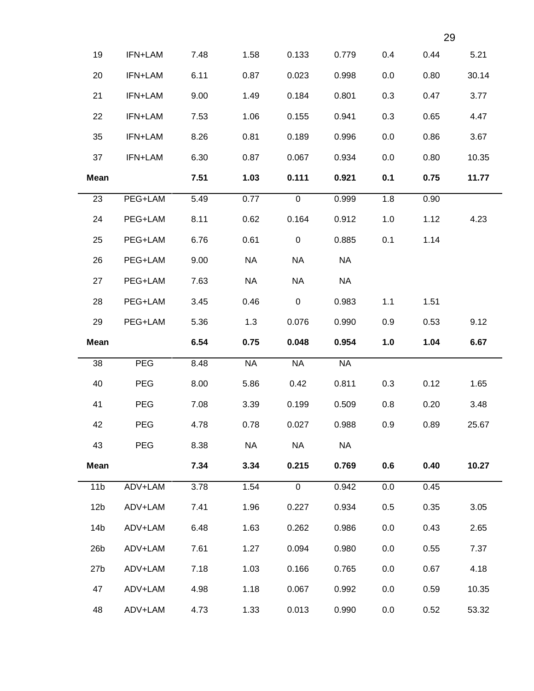|                 |            |      |           |             |           |     | 29   |       |
|-----------------|------------|------|-----------|-------------|-----------|-----|------|-------|
| 19              | IFN+LAM    | 7.48 | 1.58      | 0.133       | 0.779     | 0.4 | 0.44 | 5.21  |
| 20              | IFN+LAM    | 6.11 | 0.87      | 0.023       | 0.998     | 0.0 | 0.80 | 30.14 |
| 21              | IFN+LAM    | 9.00 | 1.49      | 0.184       | 0.801     | 0.3 | 0.47 | 3.77  |
| 22              | IFN+LAM    | 7.53 | 1.06      | 0.155       | 0.941     | 0.3 | 0.65 | 4.47  |
| 35              | IFN+LAM    | 8.26 | 0.81      | 0.189       | 0.996     | 0.0 | 0.86 | 3.67  |
| 37              | IFN+LAM    | 6.30 | 0.87      | 0.067       | 0.934     | 0.0 | 0.80 | 10.35 |
| <b>Mean</b>     |            | 7.51 | 1.03      | 0.111       | 0.921     | 0.1 | 0.75 | 11.77 |
| 23              | PEG+LAM    | 5.49 | 0.77      | $\mathbf 0$ | 0.999     | 1.8 | 0.90 |       |
| 24              | PEG+LAM    | 8.11 | 0.62      | 0.164       | 0.912     | 1.0 | 1.12 | 4.23  |
| 25              | PEG+LAM    | 6.76 | 0.61      | $\mathbf 0$ | 0.885     | 0.1 | 1.14 |       |
| 26              | PEG+LAM    | 9.00 | <b>NA</b> | <b>NA</b>   | <b>NA</b> |     |      |       |
| 27              | PEG+LAM    | 7.63 | <b>NA</b> | <b>NA</b>   | <b>NA</b> |     |      |       |
| 28              | PEG+LAM    | 3.45 | 0.46      | $\pmb{0}$   | 0.983     | 1.1 | 1.51 |       |
| 29              | PEG+LAM    | 5.36 | 1.3       | 0.076       | 0.990     | 0.9 | 0.53 | 9.12  |
| <b>Mean</b>     |            | 6.54 | 0.75      | 0.048       | 0.954     | 1.0 | 1.04 | 6.67  |
| 38              | <b>PEG</b> | 8.48 | <b>NA</b> | <b>NA</b>   | <b>NA</b> |     |      |       |
| 40              | <b>PEG</b> | 8.00 | 5.86      | 0.42        | 0.811     | 0.3 | 0.12 | 1.65  |
| 41              | <b>PEG</b> | 7.08 | 3.39      | 0.199       | 0.509     | 0.8 | 0.20 | 3.48  |
| 42              | PEG        | 4.78 | 0.78      | 0.027       | 0.988     | 0.9 | 0.89 | 25.67 |
| 43              | <b>PEG</b> | 8.38 | <b>NA</b> | <b>NA</b>   | <b>NA</b> |     |      |       |
| <b>Mean</b>     |            | 7.34 | 3.34      | 0.215       | 0.769     | 0.6 | 0.40 | 10.27 |
| 11 <sub>b</sub> | ADV+LAM    | 3.78 | 1.54      | $\mathbf 0$ | 0.942     | 0.0 | 0.45 |       |
| 12 <sub>b</sub> | ADV+LAM    | 7.41 | 1.96      | 0.227       | 0.934     | 0.5 | 0.35 | 3.05  |
| 14 <sub>b</sub> | ADV+LAM    | 6.48 | 1.63      | 0.262       | 0.986     | 0.0 | 0.43 | 2.65  |
| 26 <sub>b</sub> | ADV+LAM    | 7.61 | 1.27      | 0.094       | 0.980     | 0.0 | 0.55 | 7.37  |
| 27 <sub>b</sub> |            | 7.18 |           | 0.166       | 0.765     | 0.0 | 0.67 | 4.18  |
|                 | ADV+LAM    |      | 1.03      |             |           |     |      |       |
| 47              | ADV+LAM    | 4.98 | 1.18      | 0.067       | 0.992     | 0.0 | 0.59 | 10.35 |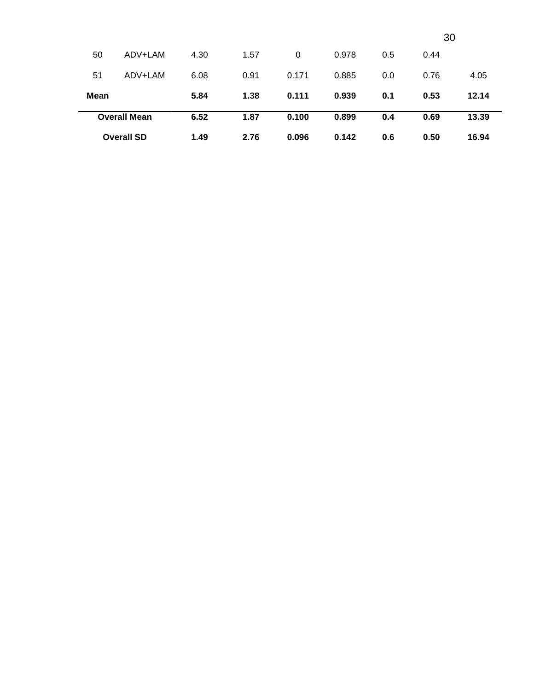|             |                     |      |      |          |       |     | 30   |       |
|-------------|---------------------|------|------|----------|-------|-----|------|-------|
| 50          | ADV+LAM             | 4.30 | 1.57 | $\Omega$ | 0.978 | 0.5 | 0.44 |       |
| 51          | ADV+LAM             | 6.08 | 0.91 | 0.171    | 0.885 | 0.0 | 0.76 | 4.05  |
| <b>Mean</b> |                     | 5.84 | 1.38 | 0.111    | 0.939 | 0.1 | 0.53 | 12.14 |
|             | <b>Overall Mean</b> | 6.52 | 1.87 | 0.100    | 0.899 | 0.4 | 0.69 | 13.39 |
|             | <b>Overall SD</b>   | 1.49 | 2.76 | 0.096    | 0.142 | 0.6 | 0.50 | 16.94 |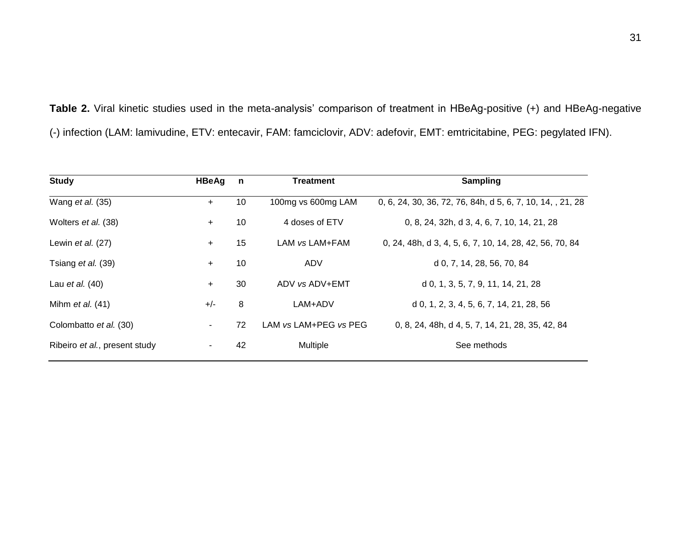**Table 2.** Viral kinetic studies used in the meta-analysis' comparison of treatment in HBeAg-positive (+) and HBeAg-negative (-) infection (LAM: lamivudine, ETV: entecavir, FAM: famciclovir, ADV: adefovir, EMT: emtricitabine, PEG: pegylated IFN).

| <b>Study</b>                  | <b>HBeAg</b>   | $\mathsf{n}$ | <b>Treatment</b>      | <b>Sampling</b>                                            |
|-------------------------------|----------------|--------------|-----------------------|------------------------------------------------------------|
| Wang et al. (35)              | $+$            | 10           | 100mg vs 600mg LAM    | 0, 6, 24, 30, 36, 72, 76, 84h, d 5, 6, 7, 10, 14, , 21, 28 |
| Wolters et al. (38)           | $+$            | 10           | 4 doses of ETV        | 0, 8, 24, 32h, d 3, 4, 6, 7, 10, 14, 21, 28                |
| Lewin et al. (27)             | $+$            | 15           | LAM vs LAM+FAM        | 0, 24, 48h, d 3, 4, 5, 6, 7, 10, 14, 28, 42, 56, 70, 84    |
| Tsiang et al. (39)            | $+$            | 10           | ADV                   | d 0, 7, 14, 28, 56, 70, 84                                 |
| Lau et al. (40)               | $+$            | 30           | ADV vs ADV+EMT        | d 0, 1, 3, 5, 7, 9, 11, 14, 21, 28                         |
| Mihm $et al. (41)$            | $+/-$          | 8            | LAM+ADV               | d 0, 1, 2, 3, 4, 5, 6, 7, 14, 21, 28, 56                   |
| Colombatto et al. (30)        | $\sim$         | 72           | LAM vs LAM+PEG vs PEG | 0, 8, 24, 48h, d 4, 5, 7, 14, 21, 28, 35, 42, 84           |
| Ribeiro et al., present study | $\blacksquare$ | 42           | <b>Multiple</b>       | See methods                                                |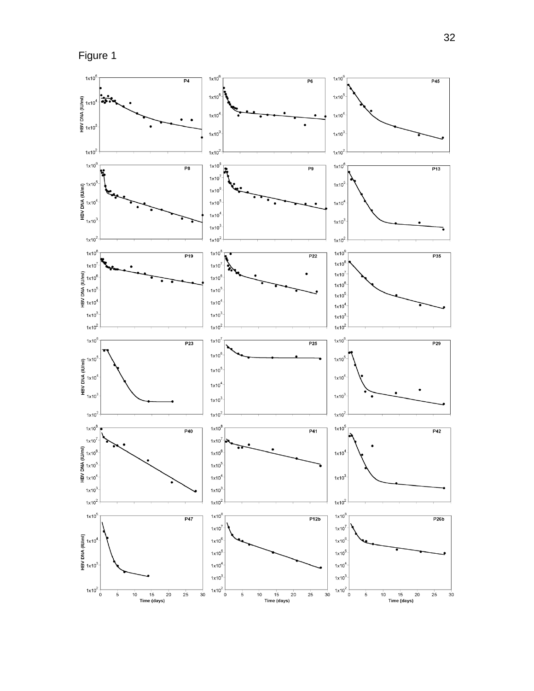

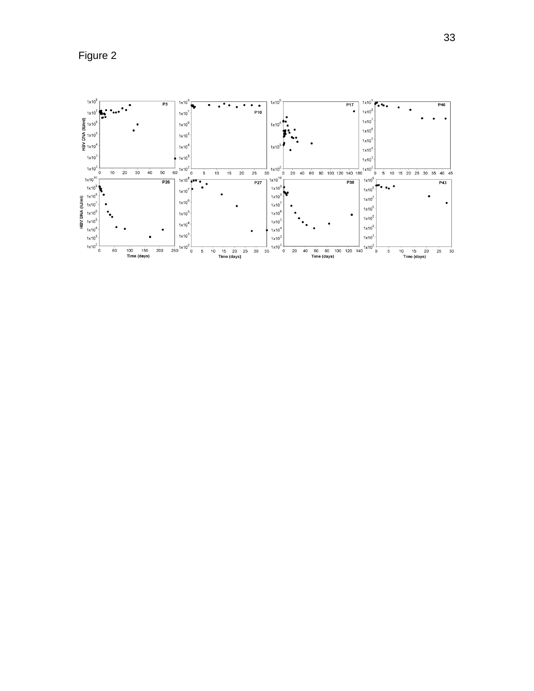Figure 2

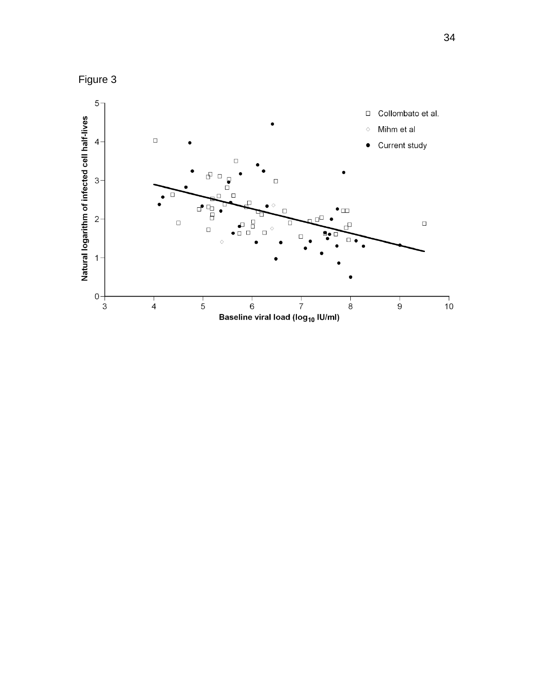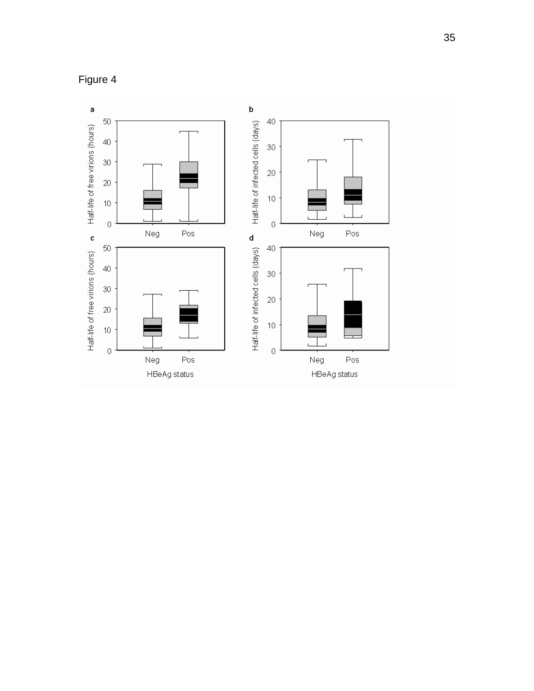